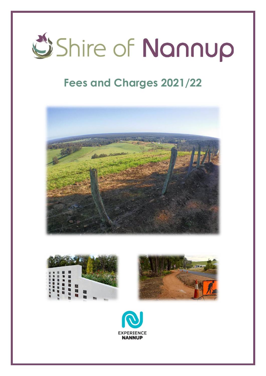

## **Fees and Charges 2021/22**







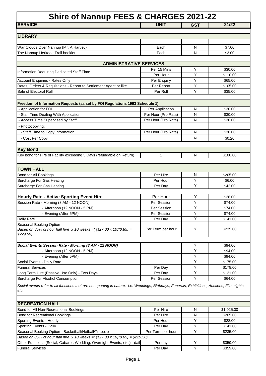| <b>SERVICE</b>                                                                                                                                                                                      | <b>Shire of Nannup FEES &amp; CHARGES 2021-22</b><br><b>UNIT</b> | <b>GST</b> | 21/22               |
|-----------------------------------------------------------------------------------------------------------------------------------------------------------------------------------------------------|------------------------------------------------------------------|------------|---------------------|
|                                                                                                                                                                                                     |                                                                  |            |                     |
| <b>LIBRARY</b>                                                                                                                                                                                      |                                                                  |            |                     |
|                                                                                                                                                                                                     |                                                                  |            |                     |
| War Clouds Over Nannup (Mr. A Hartley)                                                                                                                                                              | Each                                                             | N          | \$7.00              |
| The Nannup Heritage Trail booklet                                                                                                                                                                   | Each                                                             | N          | \$3.00              |
|                                                                                                                                                                                                     |                                                                  |            |                     |
| <b>ADMINISTRATIVE SERVICES</b>                                                                                                                                                                      |                                                                  |            |                     |
| Information Requiring Dedicated Staff Time                                                                                                                                                          | Per 15 Mins                                                      | Y          | \$30.00             |
|                                                                                                                                                                                                     | Per Hour                                                         | Υ          | \$110.00            |
| Account Enquiries - Rates Only                                                                                                                                                                      | Per Enquiry                                                      | Y          | \$65.00             |
| Rates, Orders & Requisitions - Report to Settlement Agent or like                                                                                                                                   | Per Report                                                       | Υ          | \$105.00            |
| Sale of Electoral Roll                                                                                                                                                                              | Per Roll                                                         | Y          | \$35.00             |
|                                                                                                                                                                                                     |                                                                  |            |                     |
| Freedom of Information Requests (as set by FOI Regulations 1993 Schedule 1)                                                                                                                         |                                                                  |            |                     |
| - Application for FOI                                                                                                                                                                               | Per Application                                                  | N          | \$30.00             |
| - Staff Time Dealing With Application                                                                                                                                                               | Per Hour (Pro Rata)                                              | N          | \$30.00             |
| - Access Time Supervised by Staff                                                                                                                                                                   | Per Hour (Pro Rata)                                              | N          | \$30.00             |
| - Photocopying:                                                                                                                                                                                     |                                                                  |            |                     |
| - Staff Time to Copy Information                                                                                                                                                                    | Per Hour (Pro Rata)                                              | N          | \$30.00             |
| - Cost Per Copy                                                                                                                                                                                     |                                                                  | N          | \$0.20              |
|                                                                                                                                                                                                     |                                                                  |            |                     |
| <b>Key Bond</b>                                                                                                                                                                                     |                                                                  |            |                     |
| Key bond for Hire of Facility exceeding 5 Days (refundable on Return)                                                                                                                               | 1                                                                | N          | \$100.00            |
| <b>TOWN HALL</b>                                                                                                                                                                                    |                                                                  |            |                     |
| Bond for All Bookings                                                                                                                                                                               | Per Hire                                                         | N          | \$205.00            |
| Surcharge For Gas Heating                                                                                                                                                                           | Per Hour                                                         | Υ          | \$6.00              |
| Surcharge For Gas Heating                                                                                                                                                                           | Per Day                                                          | Υ          | \$42.00             |
|                                                                                                                                                                                                     |                                                                  |            |                     |
| <b>Hourly Rate - Active Sporting Event Hire</b>                                                                                                                                                     | Per Hour                                                         | Υ          | \$28.00             |
| Session Rate - Morning (8 AM - 12 NOON)                                                                                                                                                             | Per Session                                                      | Υ          | \$74.00             |
| - Afternoon (12 NOON - 5 PM)                                                                                                                                                                        | Per Session                                                      | Y          | \$74.00             |
| - Evening (After 5PM)                                                                                                                                                                               | Per Session                                                      | Υ          | \$74.00             |
|                                                                                                                                                                                                     | Per Day                                                          | Y          | \$141.00            |
| Daily Rate                                                                                                                                                                                          |                                                                  |            |                     |
| Seasonal Booking Option<br>Based on 85% of hour hall hire x 10 weeks = $($ (\$27.00 x 10)*0.85) =<br>\$229.50)                                                                                      | Per Term per hour                                                | Υ          | \$235.00            |
|                                                                                                                                                                                                     |                                                                  |            |                     |
|                                                                                                                                                                                                     |                                                                  | Y          | \$94.00             |
| - Afternoon (12 NOON - 5 PM)                                                                                                                                                                        |                                                                  | Y          | \$94.00             |
| - Evening (After 5PM)                                                                                                                                                                               |                                                                  | Y          | \$94.00             |
|                                                                                                                                                                                                     |                                                                  | Υ          | \$175.00            |
|                                                                                                                                                                                                     | Per Day                                                          | Y          | \$178.00            |
| Social Events Session Rate - Morning (8 AM - 12 NOON)<br>Social Events - Daily Rate<br><b>Funeral Services</b><br>Long Term Hire (Passive Use Only) - Two Days<br>Surcharge For Alcohol Consumption | Per Day<br>Per Session                                           | Υ<br>Υ     | \$121.00<br>\$64.00 |

Funeral Services **Per Day** Per Day **Per Day** Per Day **Per Day** 9359.00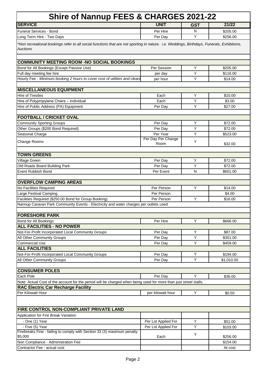| <b>Shire of Nannup FEES &amp; CHARGES 2021-22</b>                                                                                                      |                     |            |            |  |
|--------------------------------------------------------------------------------------------------------------------------------------------------------|---------------------|------------|------------|--|
| <b>SERVICE</b>                                                                                                                                         | <b>UNIT</b>         | <b>GST</b> | 21/22      |  |
| <b>Funeral Services - Bond</b>                                                                                                                         | Per Hire            | N          | \$205.00   |  |
| Long Term Hire - Two Days                                                                                                                              | Per Day             | Υ          | \$256.00   |  |
| *Non recreational bookings refer to all social functions that are not sporting in nature. i.e. Weddings, Birthdays, Funerals, Exhibitions,<br>Auctions |                     |            |            |  |
| <b>COMMUNITY MEETING ROOM -NO SOCIAL BOOKINGS</b>                                                                                                      |                     |            |            |  |
| Bond for All Bookings (Except Passive Use)                                                                                                             | Per Session         | Y          | \$205.00   |  |
| Full day meeting fee hire                                                                                                                              | per day             | Y          | \$116.00   |  |
| Hourly Fee - Minimum booking 2 hours to cover cost of utilities and clean                                                                              | per hour            | Υ          | \$14.00    |  |
| <b>MISCELLANEOUS EQUIPMENT</b>                                                                                                                         |                     |            |            |  |
| <b>Hire of Trestles</b>                                                                                                                                | Each                | Y          | \$10.00    |  |
| Hire of Polypropylene Chairs - Individual                                                                                                              | Each                | Υ          | \$3.00     |  |
| Hire of Public Address (PA) Equipment                                                                                                                  | Per Day             | Y          | \$27.00    |  |
| <b>FOOTBALL / CRICKET OVAL</b>                                                                                                                         |                     |            |            |  |
| <b>Community Sporting Groups</b>                                                                                                                       | Per Day             | Y          | \$72.00    |  |
| Other Groups (\$200 Bond Required)                                                                                                                     | Per Day             | Y          | \$72.00    |  |
| Seasonal Charge                                                                                                                                        | Per Year            | Y          | \$523.00   |  |
|                                                                                                                                                        | Per Day Per Change  |            |            |  |
| Change Rooms                                                                                                                                           | Room                | Y          | \$32.00    |  |
| <b>TOWN GREENS</b>                                                                                                                                     |                     |            |            |  |
| Village Green                                                                                                                                          | Per Day             | Y          | \$72.00    |  |
| Old Roads Board Building Park                                                                                                                          | Per Day             | Y          | \$72.00    |  |
| <b>Event Rubbish Bond</b>                                                                                                                              | Per Event           | N          | \$601.00   |  |
|                                                                                                                                                        |                     |            |            |  |
| <b>OVERFLOW CAMPING AREAS</b>                                                                                                                          |                     | Y          |            |  |
| No Facilities Required                                                                                                                                 | Per Person          |            | \$14.00    |  |
| Large Festival Camping                                                                                                                                 | Per Person          | Y          | \$4.00     |  |
| Facilities Required (\$250.00 Bond for Group Booking)<br>Nannup Caravan Park Community Events - Electricity and water charges per outlets used         | Per Person          |            | \$16.00    |  |
|                                                                                                                                                        |                     |            |            |  |
| <b>FORESHORE PARK</b>                                                                                                                                  |                     |            |            |  |
| Bond for All Bookings                                                                                                                                  | Per Hire            | Y          | \$666.00   |  |
| <b>ALL FACILITIES - NO POWER</b>                                                                                                                       |                     |            |            |  |
| Not-For-Profit Incorporated Local Community Groups                                                                                                     | Per Day             | Y          | \$87.00    |  |
| All Other Community Groups                                                                                                                             | Per Day             | Y          | \$351.00   |  |
| Commercial Use                                                                                                                                         | Per Day             | Y          | \$459.00   |  |
| <b>ALL FACILITIES</b>                                                                                                                                  |                     |            |            |  |
| Not-For-Profit Incorporated Local Community Groups                                                                                                     | Per Day             | Υ          | \$194.00   |  |
| All Other Community Groups                                                                                                                             | Per Day             | Y          | \$1,010.00 |  |
| <b>CONSUMER POLES</b>                                                                                                                                  |                     |            |            |  |
| Each Pole                                                                                                                                              | Per Day             | Y          | \$36.00    |  |
| Note: Actual Cost of the account for the period will be charged when being used for more than just street stalls.                                      |                     |            |            |  |
| <b>RAC Electric Car Recharge Facility</b>                                                                                                              |                     |            |            |  |
| Per Kilowatt Hour                                                                                                                                      | per kilowatt hour   | Υ          | \$0.50     |  |
|                                                                                                                                                        |                     |            |            |  |
| FIRE CONTROL NON-COMPLIANT PRIVATE LAND                                                                                                                |                     |            |            |  |
| Application for Fire Break Variation                                                                                                                   |                     |            |            |  |
| - One (1) Year                                                                                                                                         | Per Lot Applied For | Υ          | \$51.00    |  |
| - Five (5) Year                                                                                                                                        | Per Lot Applied For | Υ          | \$103.00   |  |
| Firebreaks Fine - failing to comply with Section 33 (3) maximum penalty<br>\$5,000                                                                     | Each                | Y          | \$256.00   |  |
| Non Compliance - Administration Fee                                                                                                                    |                     |            | \$154.00   |  |
| Contractor Fee - actual cost                                                                                                                           |                     |            | At cost    |  |
|                                                                                                                                                        |                     |            |            |  |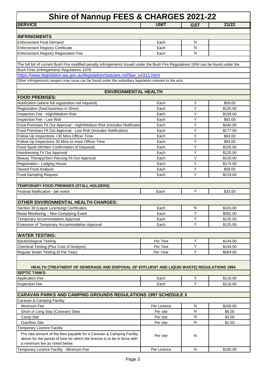| Shire of Nannup FEES & CHARGES 2021-22                                                                                               |             |                     |          |  |
|--------------------------------------------------------------------------------------------------------------------------------------|-------------|---------------------|----------|--|
| <b>SERVICE</b>                                                                                                                       | <b>UNIT</b> | <b>GST</b>          | 21/22    |  |
|                                                                                                                                      |             |                     |          |  |
| <b>INFRINGMENTS</b>                                                                                                                  |             |                     |          |  |
| <b>Enforcement Final Demand</b>                                                                                                      | Each        | N                   |          |  |
| <b>Enforcement Registry Certificate</b>                                                                                              | Each        | N                   |          |  |
| <b>Enforcement Registry Registration Fee</b>                                                                                         | Each        | N                   |          |  |
| The full list of current Bush Fire modified penalty infringements issued under the Bush Fire Regulations 1954 can be found under the |             |                     |          |  |
| Bush Fires (Infringement) Regulations 1978:                                                                                          |             |                     |          |  |
| https://www.legislation.wa.gov.au/legislation/statutes.nsf/law_s4311.html                                                            |             |                     |          |  |
| Other infringements rangers may issue can be found under the subsidiary legislation relevant to the acts.                            |             |                     |          |  |
|                                                                                                                                      |             |                     |          |  |
| <b>ENVIRONMENTAL HEALTH</b>                                                                                                          |             |                     |          |  |
| <b>FOOD PREMISES:</b>                                                                                                                |             |                     |          |  |
| Notification (where full registration not required)                                                                                  | Each        | Υ                   | \$59.00  |  |
| Registration (food business in Shire)                                                                                                | Each        | Y                   | \$125.00 |  |
| Inspection Fee - High/Medium Risk                                                                                                    | Each        | Υ                   | \$159.00 |  |
| Inspection Fee - Low Risk                                                                                                            | Each        | Υ                   | \$92.00  |  |
| Food Premises Fit Out Approval - High/Medium Risk (Includes Notificatio                                                              | Each        | Υ                   | \$240.00 |  |
| Food Premises Fit Out Approval - Low Risk (Includes Notification)                                                                    | Each        | Υ                   | \$177.00 |  |
| Follow Up Inspections <30 Mins Officer Time                                                                                          | Each        | Y                   | \$63.00  |  |
| Follow Up Inspections 30 Mins or more Officer Time                                                                                   | Each        | Y                   | \$94.00  |  |
| Food Spoilt (Written Confirmation of Disposal)                                                                                       | Each        | Υ                   | \$105.00 |  |
| Hairdressing Fit Out Approval                                                                                                        | Each        | Υ<br>$\overline{Y}$ | \$120.00 |  |
| Beauty Therapy/Skin Piercing Fit Out Approval                                                                                        | Each        | Y                   | \$120.00 |  |
| Registration - Lodging House                                                                                                         | Each        | Υ                   | \$174.00 |  |
| Seized Food Analysis                                                                                                                 | Each        | Y                   | \$59.00  |  |
| <b>Food Sampling Request</b>                                                                                                         | Each        |                     | \$219.00 |  |
| TEMPORARY FOOD PREMISES (STALL HOLDERS)                                                                                              |             |                     |          |  |
| Festival Notification - per event                                                                                                    | Each        | Y                   | \$33.00  |  |
|                                                                                                                                      |             |                     |          |  |
| <b>OTHER ENVIRONMENTAL HEALTH CHARGES:</b>                                                                                           |             |                     |          |  |
| Section 39 (Liquor Licensing) Certificates                                                                                           | Each        | N                   | \$103.00 |  |
| Noise Monitoring - Non-Complying Event                                                                                               | Each        | Υ                   | \$592.00 |  |
| Temporary Accommodation Approval                                                                                                     | Each        | Y                   | \$125.00 |  |
| Extension of Temporary Accommodation Approval                                                                                        | Each        | Y                   | \$125.00 |  |
|                                                                                                                                      |             |                     |          |  |
| <b>WATER TESTING:</b>                                                                                                                |             |                     |          |  |
| <b>Bacteriological Testing</b>                                                                                                       | Per Test    | Y                   | \$144.00 |  |
| Chemical Testing (Plus Cost of Analysis)                                                                                             | Per Test    | Υ                   | \$144.00 |  |
| Regular Water Testing (6 Per Year)                                                                                                   | Per Year    | $\overline{Y}$      | \$584.00 |  |
|                                                                                                                                      |             |                     |          |  |
| HEALTH (TREATMENT OF SEWERAGE AND DISPOSAL OF EFFLUENT AND LIQUID WASTE) REGULATIONS 1994                                            |             |                     |          |  |
| <b>SEPTIC TANKS:</b>                                                                                                                 |             |                     |          |  |
| <b>Application Fee</b>                                                                                                               | Each        | Υ                   | \$118.00 |  |
| Inspection Fee                                                                                                                       | Each        | Y                   | \$118.00 |  |
|                                                                                                                                      |             |                     |          |  |
| <b>CARAVAN PARKS AND CAMPING GROUNDS REGULATIONS 1997 SCHEDULE 3</b>                                                                 |             |                     |          |  |
| Caravan & Camping Facility                                                                                                           |             |                     |          |  |
| Minimum Fee                                                                                                                          | Per Licence | N                   | \$200.00 |  |
| Short or Long Stay (Caravan) Sites                                                                                                   | Per site    | N                   | \$6.00   |  |
| Camp Site                                                                                                                            | Per site    | N                   | \$3.00   |  |
| <b>Overflow Site</b>                                                                                                                 | Per site    | ${\sf N}$           | \$1.50   |  |
| <b>Temporary Licence Facility</b>                                                                                                    |             |                     |          |  |
| Pro rata amount of the fees payable for a Caravan & Camping Facility                                                                 | Per site    | N                   |          |  |
| above for the period of time for which the licence is to be in force with                                                            |             |                     |          |  |
| a minimum fee as noted below.                                                                                                        |             |                     |          |  |
| Temporary Licence Facility - Minimum Fee                                                                                             | Per Licence | N                   | \$100.00 |  |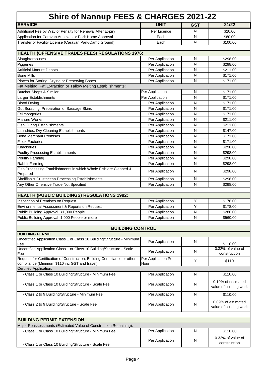| <b>Shire of Nannup FEES &amp; CHARGES 2021-22</b>                                                                        |                             |            |                                              |
|--------------------------------------------------------------------------------------------------------------------------|-----------------------------|------------|----------------------------------------------|
| <b>SERVICE</b>                                                                                                           | <b>UNIT</b>                 | <b>GST</b> | 21/22                                        |
| Additional Fee by Way of Penalty for Renewal After Expiry                                                                | Per Licence                 | N          | \$20.00                                      |
| Application for Caravan Annexes or Park Home Approval                                                                    | Each                        | N          | \$80.00                                      |
| Transfer of Facility License (Caravan Park/Camp Ground)                                                                  | Each                        | N          | \$100.00                                     |
|                                                                                                                          |                             |            |                                              |
| HEALTH (OFFENSIVE TRADES FEES) REGULATIONS 1976:                                                                         |                             |            |                                              |
| Slaughterhouses                                                                                                          | Per Application             | N          | \$298.00                                     |
| Piggeries                                                                                                                | Per Application             | N          | \$298.00                                     |
| <b>Artificial Manure Depots</b>                                                                                          | Per Application             | ${\sf N}$  | \$211.00                                     |
| <b>Bone Mills</b>                                                                                                        | Per Application             | ${\sf N}$  | \$171.00                                     |
| Places for Storing, Drying or Preserving Bones                                                                           | Per Application             | N          | \$171.00                                     |
| Fat Melting, Fat Extraction or Tallow Melting Establishments:                                                            |                             |            |                                              |
| <b>Butcher Shops &amp; Similar</b>                                                                                       | Per Application             | N          | \$171.00                                     |
| Larger Establishments                                                                                                    | Per Application             | N          | \$171.00                                     |
| <b>Blood Drying</b>                                                                                                      | Per Application             | N          | \$171.00                                     |
| Gut Scraping, Preparation of Sausage Skins                                                                               | Per Application             | N          | \$171.00                                     |
| Fellmongeries                                                                                                            | Per Application             | N          | \$171.00                                     |
| Manure Works                                                                                                             | Per Application             | N          | \$211.00                                     |
| <b>Fish Curing Establishments</b>                                                                                        | Per Application             | N          | \$211.00                                     |
| Laundries, Dry Cleaning Establishments                                                                                   | Per Application             | N          | \$147.00                                     |
| <b>Bone Merchant Premises</b>                                                                                            | Per Application             | N          | \$171.00                                     |
| <b>Flock Factories</b>                                                                                                   | Per Application             | N          | \$171.00                                     |
| Knackeries                                                                                                               | Per Application             | N          | \$298.00                                     |
| <b>Poultry Processing Establishments</b>                                                                                 | Per Application             | N          | \$298.00                                     |
| <b>Poultry Farming</b>                                                                                                   | Per Application             | N          | \$298.00                                     |
| Rabbit Farming                                                                                                           | Per Application             | N          | \$298.00                                     |
| Fish Processing Establishments in which Whole Fish are Cleaned &<br>Prepared                                             | Per Application             | N          | \$298.00                                     |
| Shellfish & Crustacean Processing Establishments                                                                         | Per Application             | ${\sf N}$  | \$298.00                                     |
| Any Other Offensive Trade Not Specified                                                                                  | Per Application             | N          | \$298.00                                     |
| HEALTH (PUBLIC BUILDINGS) REGULATIONS 1992:                                                                              |                             |            |                                              |
| Inspection of Premises on Request                                                                                        | Per Application             | Υ          | \$178.00                                     |
| Environmental Assessment & Reports on Request                                                                            | Per Application             | Υ          | \$178.00                                     |
| Public Building Approval <1,000 People                                                                                   | Per Application             | N          | \$280.00                                     |
| Public Building Approval 1,000 People or more                                                                            | Per Application             | N          | \$560.00                                     |
|                                                                                                                          |                             |            |                                              |
| <b>BUILDING CONTROL</b>                                                                                                  |                             |            |                                              |
| <b>BUILDING PERMIT</b>                                                                                                   |                             |            |                                              |
| Uncertified Application Class 1 or Class 10 Building/Structure - Minimum<br>Fee                                          | Per Application             | N          | \$110.00                                     |
| Uncertified Application Class 1 or Class 10 Building/Structure - Scale                                                   |                             |            | 0.32% of value of                            |
| Fee                                                                                                                      | Per Application             | N          | construction                                 |
| Request for Certification of Construction, Building Compliance or other<br>compliance (Minimum \$110 inc GST and travel) | Per Application Per<br>Hour | Y          | \$110                                        |
| <b>Certified Application:</b>                                                                                            |                             |            |                                              |
| - Class 1 or Class 10 Building/Structure - Minimum Fee                                                                   | Per Application             | N          | \$110.00                                     |
| - Class 1 or Class 10 Building/Structure - Scale Fee                                                                     | Per Application             | N          | 0.19% of estimated<br>value of building work |
| - Class 2 to 9 Building/Structure - Minimum Fee                                                                          | Per Application             | N          | \$110.00                                     |
| - Class 2 to 9 Building/Structure - Scale Fee                                                                            | Per Application             | N          | 0.09% of estimated<br>value of building work |
|                                                                                                                          |                             |            |                                              |
| <b>BUILDING PERMIT EXTENSION</b><br>Major Reassessments (Estimated Value of Construction Remaining):                     |                             |            |                                              |
| - Class 1 or Class 10 Building/Structure - Minimum Fee                                                                   | Per Application             | N          | \$110.00                                     |
|                                                                                                                          |                             |            |                                              |
| - Class 1 or Class 10 Building/Structure - Scale Fee                                                                     | Per Application             | N          | 0.32% of value of<br>construction            |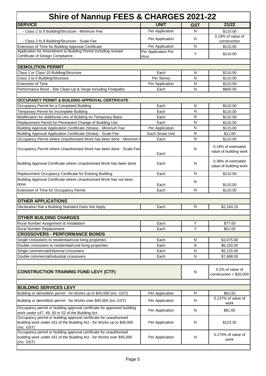| <b>UNIT</b><br>Per Application<br>Per Application<br>Per Application<br>Per Application Per<br>Each<br>Per Storey<br>Per Application<br>Each<br>Each<br>Each<br>Each<br>Each<br>Per Application<br>Each Strata Unit | <b>GST</b><br>${\sf N}$<br>N<br>$\mathsf{N}$<br>Y<br>N<br>N<br>N<br>N<br>N<br>$\overline{N}$<br>$\mathsf{N}$<br>$\mathsf{N}$<br>$\mathsf{N}$ | 21/22<br>\$110.00<br>0.19% of value of<br>construction<br>\$110.00<br>\$110.00<br>\$110.00<br>\$110.00<br>\$110.00<br>\$800.00<br>\$110.00<br>\$110.00<br>\$110.00<br>\$110.00 |
|---------------------------------------------------------------------------------------------------------------------------------------------------------------------------------------------------------------------|----------------------------------------------------------------------------------------------------------------------------------------------|--------------------------------------------------------------------------------------------------------------------------------------------------------------------------------|
|                                                                                                                                                                                                                     |                                                                                                                                              |                                                                                                                                                                                |
|                                                                                                                                                                                                                     |                                                                                                                                              |                                                                                                                                                                                |
|                                                                                                                                                                                                                     |                                                                                                                                              |                                                                                                                                                                                |
|                                                                                                                                                                                                                     |                                                                                                                                              |                                                                                                                                                                                |
|                                                                                                                                                                                                                     |                                                                                                                                              |                                                                                                                                                                                |
|                                                                                                                                                                                                                     |                                                                                                                                              |                                                                                                                                                                                |
|                                                                                                                                                                                                                     |                                                                                                                                              |                                                                                                                                                                                |
|                                                                                                                                                                                                                     |                                                                                                                                              |                                                                                                                                                                                |
|                                                                                                                                                                                                                     |                                                                                                                                              |                                                                                                                                                                                |
|                                                                                                                                                                                                                     |                                                                                                                                              |                                                                                                                                                                                |
|                                                                                                                                                                                                                     |                                                                                                                                              |                                                                                                                                                                                |
|                                                                                                                                                                                                                     |                                                                                                                                              |                                                                                                                                                                                |
|                                                                                                                                                                                                                     |                                                                                                                                              |                                                                                                                                                                                |
|                                                                                                                                                                                                                     |                                                                                                                                              |                                                                                                                                                                                |
|                                                                                                                                                                                                                     |                                                                                                                                              |                                                                                                                                                                                |
|                                                                                                                                                                                                                     |                                                                                                                                              |                                                                                                                                                                                |
|                                                                                                                                                                                                                     |                                                                                                                                              |                                                                                                                                                                                |
|                                                                                                                                                                                                                     |                                                                                                                                              | \$115.00                                                                                                                                                                       |
|                                                                                                                                                                                                                     | $\mathsf{N}$                                                                                                                                 | \$11.60                                                                                                                                                                        |
|                                                                                                                                                                                                                     | ${\sf N}$                                                                                                                                    | \$110.00                                                                                                                                                                       |
|                                                                                                                                                                                                                     |                                                                                                                                              |                                                                                                                                                                                |
| Each                                                                                                                                                                                                                | N                                                                                                                                            | 0.18% of estimated<br>value of building work                                                                                                                                   |
| Each                                                                                                                                                                                                                | N                                                                                                                                            | 0.38% of estimated<br>value of building work                                                                                                                                   |
| Each                                                                                                                                                                                                                | N                                                                                                                                            | \$110.00                                                                                                                                                                       |
|                                                                                                                                                                                                                     |                                                                                                                                              |                                                                                                                                                                                |
| Each                                                                                                                                                                                                                |                                                                                                                                              | \$110.00                                                                                                                                                                       |
| Each                                                                                                                                                                                                                | N                                                                                                                                            | \$110.00                                                                                                                                                                       |
|                                                                                                                                                                                                                     |                                                                                                                                              |                                                                                                                                                                                |
|                                                                                                                                                                                                                     |                                                                                                                                              |                                                                                                                                                                                |
|                                                                                                                                                                                                                     |                                                                                                                                              | \$2,160.15                                                                                                                                                                     |
|                                                                                                                                                                                                                     |                                                                                                                                              |                                                                                                                                                                                |
|                                                                                                                                                                                                                     |                                                                                                                                              | \$77.00                                                                                                                                                                        |
|                                                                                                                                                                                                                     | Y                                                                                                                                            | \$51.00                                                                                                                                                                        |
|                                                                                                                                                                                                                     |                                                                                                                                              |                                                                                                                                                                                |
| Each                                                                                                                                                                                                                | $\mathsf{N}$                                                                                                                                 | \$3,075.00                                                                                                                                                                     |
| Each                                                                                                                                                                                                                | N                                                                                                                                            | \$6,150.00                                                                                                                                                                     |
| Each                                                                                                                                                                                                                | $\mathsf{N}$                                                                                                                                 | \$5,125.00                                                                                                                                                                     |
| Each                                                                                                                                                                                                                | N                                                                                                                                            | \$7,688.00                                                                                                                                                                     |
|                                                                                                                                                                                                                     |                                                                                                                                              |                                                                                                                                                                                |
|                                                                                                                                                                                                                     | $\mathsf{N}$                                                                                                                                 | 0.2% of value of<br>construction $> $20,000$                                                                                                                                   |
|                                                                                                                                                                                                                     |                                                                                                                                              |                                                                                                                                                                                |
|                                                                                                                                                                                                                     | N                                                                                                                                            | \$61.65                                                                                                                                                                        |
|                                                                                                                                                                                                                     |                                                                                                                                              | 0.137% of value of                                                                                                                                                             |
|                                                                                                                                                                                                                     |                                                                                                                                              | work                                                                                                                                                                           |
| Per Application                                                                                                                                                                                                     | N                                                                                                                                            | \$61.65                                                                                                                                                                        |
| Per Application                                                                                                                                                                                                     | N                                                                                                                                            | \$123.30                                                                                                                                                                       |
| Per Application                                                                                                                                                                                                     | N                                                                                                                                            | $0.274\%$ of value of<br>work                                                                                                                                                  |
|                                                                                                                                                                                                                     | Each<br>Each<br>Each<br>Each<br>Per Application<br>Per Application                                                                           | N<br>N<br>Υ<br>N                                                                                                                                                               |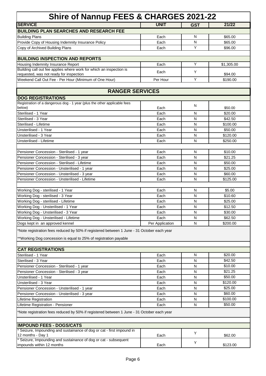| <b>Shire of Nannup FEES &amp; CHARGES 2021-22</b>                                                                                                              |                 |            |            |  |
|----------------------------------------------------------------------------------------------------------------------------------------------------------------|-----------------|------------|------------|--|
| <b>SERVICE</b>                                                                                                                                                 | <b>UNIT</b>     | <b>GST</b> | 21/22      |  |
| <b>BUILDING PLAN SEARCHES AND RESEARCH FEE</b>                                                                                                                 |                 |            |            |  |
| <b>Building Plans</b>                                                                                                                                          | Each            | N          | \$65.00    |  |
| Provide Copy of Housing Indemnity Insurance Policy                                                                                                             | Each            | N          | \$65.00    |  |
| Copy of Archived Building Plans                                                                                                                                | Each            | Υ          | \$96.00    |  |
|                                                                                                                                                                |                 |            |            |  |
| <b>BUILDING INSPECTION AND REPORTS</b>                                                                                                                         |                 |            |            |  |
| Housing Indemnity Insurance Report                                                                                                                             | Each            | Υ          | \$1,305.00 |  |
| Building call out fee applies where work for which an inspection is                                                                                            | Each            | Υ          |            |  |
| requested, was not ready for inspection                                                                                                                        |                 | Y          | \$94.00    |  |
| Weekend Call Out Fee - Per Hour (Minimum of One Hour)                                                                                                          | Per Hour        |            | \$190.00   |  |
|                                                                                                                                                                |                 |            |            |  |
| <b>RANGER SERVICES</b>                                                                                                                                         |                 |            |            |  |
| <b>DOG REGISTRATIONS</b>                                                                                                                                       |                 |            |            |  |
| Registration of a dangerous dog - 1 year (plus the other applicable fees<br>below)                                                                             | Each            | N          | \$50.00    |  |
| Sterilised - 1 Year                                                                                                                                            | Each            | N          | \$20.00    |  |
| Sterilised - 3 Year                                                                                                                                            | Each            | N          | \$42.50    |  |
| Sterilised - Lifetime                                                                                                                                          | Each            | N          | \$100.00   |  |
| Unsterilised - 1 Year                                                                                                                                          | Each            | N          | \$50.00    |  |
| Unsterilised - 3 Year                                                                                                                                          | Each            | N          | \$120.00   |  |
| Unsterilised - Lifetime                                                                                                                                        | Each            | N          | \$250.00   |  |
|                                                                                                                                                                |                 |            |            |  |
| Pensioner Concession - Sterilised - 1 year                                                                                                                     | Each            | N          | \$10.00    |  |
| Pensioner Concession - Sterilised - 3 year                                                                                                                     | Each            | N          | \$21.25    |  |
| Pensioner Concession - Sterilised - Lifetime                                                                                                                   | Each            | N          | \$50.00    |  |
| Pensioner Concession - Unsterilised - 1 year                                                                                                                   | Each            | N          | \$25.00    |  |
| Pensioner Concession - Unsterilised - 3 year                                                                                                                   | Each            | N          | \$60.00    |  |
| Pensioner Concession - Unsterilised - Lifetime                                                                                                                 | Each            | N          | \$125.00   |  |
|                                                                                                                                                                |                 |            |            |  |
| Working Dog - sterilised - 1 Year                                                                                                                              | Each            | N          | \$5.00     |  |
| Working Dog - sterilised - 3 Year                                                                                                                              | Each            | N          | \$10.60    |  |
| Working Dog - sterilised - Lifetime                                                                                                                            | Each            | N          | \$25.00    |  |
| Working Dog - Unsterilised - 1 Year                                                                                                                            | Each            | N          | \$12.50    |  |
| Working Dog - Unsterilised - 3 Year                                                                                                                            | Each            | N          | \$30.00    |  |
| Working Dog - Unsterilised - Lifetime                                                                                                                          | Each            | N          | \$62.50    |  |
| Dogs kept in an approved kennel                                                                                                                                | Per Application | N          | \$200.00   |  |
| *Note registration fees reduced by 50% if registered between 1 June - 31 October each year<br>**Working Dog concession is equal to 25% of registration payable |                 |            |            |  |
| <b>CAT REGISTRATIONS</b>                                                                                                                                       |                 |            |            |  |
|                                                                                                                                                                |                 |            | \$20.00    |  |
| Sterilised - 1 Year                                                                                                                                            | Each            | N<br>N     | \$42.50    |  |
| Sterilised - 3 Year<br>Pensioner Concession - Sterilised - 1 year                                                                                              | Each            | N          | \$10.00    |  |
| Pensioner Concession - Sterilised - 3 year                                                                                                                     | Each<br>Each    | N          | \$21.25    |  |
| Unsterilised - 1 Year                                                                                                                                          |                 | N          | \$50.00    |  |
| Unsterilised - 3 Year                                                                                                                                          | Each<br>Each    | N          | \$120.00   |  |
|                                                                                                                                                                | Each            | N          | \$25.00    |  |
| Pensioner Concession - Unsterilised - 1 year                                                                                                                   | Each            | N          | \$60.00    |  |
| Pensioner Concession - Unsterilised - 3 year<br>Lifetime Registration                                                                                          | Each            | N          | \$100.00   |  |
| Lifetime Registration - Pensioner                                                                                                                              | Each            | N          | \$50.00    |  |
|                                                                                                                                                                |                 |            |            |  |
| *Note registration fees reduced by 50% if registered between 1 June - 31 October each year                                                                     |                 |            |            |  |
|                                                                                                                                                                |                 |            |            |  |
| <b>IMPOUND FEES - DOGS/CATS</b>                                                                                                                                |                 |            |            |  |
| Seizure, Impounding and sustainance of dog or cat - first impound in                                                                                           |                 | Y          |            |  |
| 12 months - Day 1                                                                                                                                              | Each            |            | \$62.00    |  |
| Seizure, Impounding and sustainance of dog or cat - subsequent<br>impounds within 12 months                                                                    | Each            | Υ          | \$123.00   |  |
|                                                                                                                                                                |                 |            |            |  |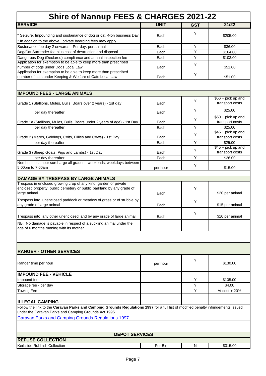| <b>Shire of Nannup FEES &amp; CHARGES 2021-22</b>                                                                                                                                          |              |            |                                |
|--------------------------------------------------------------------------------------------------------------------------------------------------------------------------------------------|--------------|------------|--------------------------------|
| <b>SERVICE</b>                                                                                                                                                                             | <b>UNIT</b>  | <b>GST</b> | 21/22                          |
|                                                                                                                                                                                            |              | Y          |                                |
| * Seizure, Impounding and sustainance of dog or cat -Non business Day                                                                                                                      | Each         |            | \$205.00                       |
| In addition to the above, private boarding fees may apply<br>Sustenance fee day 2 onwards - Per day, per animal                                                                            | Each         | Y          | \$36.00                        |
| Dog/Cat Surrender fee plus cost of destruction and disposal                                                                                                                                | Each         | Υ          | \$164.00                       |
| Dangerous Dog (Declared) compliance and annual inspection fee                                                                                                                              | Each         | Υ          | \$103.00                       |
| Application for exemption to be able to keep more than prescribed<br>number of dogs under Dogs Local Law                                                                                   | Each         | Y          | \$51.00                        |
| Application for exemption to be able to keep more than prescribed<br>number of cats under Keeping & Welfare of Cats Local Law                                                              | Each         | Υ          | \$51.00                        |
|                                                                                                                                                                                            |              |            |                                |
| <b>IMPOUND FEES - LARGE ANIMALS</b>                                                                                                                                                        |              |            | $$56 + pick up and$            |
| Grade 1 (Stallions, Mules, Bulls, Boars over 2 years) - 1st day                                                                                                                            | Each         | Y          | transport costs                |
| per day thereafter                                                                                                                                                                         | Each         | Y          | \$25.00<br>$$50 + pick up and$ |
| Grade 1a (Stallions, Mules, Bulls, Boars under 2 years of age) - 1st Day                                                                                                                   | Each         | Y          | transport costs                |
| per day thereafter                                                                                                                                                                         | Each         | Y          | \$25.00                        |
|                                                                                                                                                                                            |              | Y          | $$45 + pick up and$            |
| Grade 2 (Mares, Geldings, Colts, Fillies and Cows) - 1st Day<br>per day thereafter                                                                                                         | Each<br>Each | Y          | transport costs<br>\$25.00     |
|                                                                                                                                                                                            |              |            | $$45 + pick up and$            |
| Grade 3 (Sheep Goats, Pigs and Lambs) - 1st Day                                                                                                                                            | Each         | Y          | transport costs                |
| per day thereafter                                                                                                                                                                         | Each         | Υ          | \$26.00                        |
| Non business hour surcharge all grades: weekends, weekdays between                                                                                                                         |              | Υ          |                                |
| 5.00pm to 7.00am                                                                                                                                                                           | per hour     |            | \$15.00                        |
|                                                                                                                                                                                            |              |            |                                |
| DAMAGE BY TRESPASS BY LARGE ANIMALS<br>Trespass in enclosed growing crop of any kind, garden or private                                                                                    |              |            |                                |
| enclosed property, public cemetery or public parkland by any grade of<br>large animal                                                                                                      | Each         | Y          | \$20 per animal                |
| Trespass into unenclosed paddock or meadow of grass or of stubble by<br>any grade of large animal                                                                                          | Each         | Υ          | \$15 per animal                |
| Trespass into any other unenclosed land by any grade of large animal                                                                                                                       | Each         | Υ          | \$10 per animal                |
| NB: No damage is payable in respect of a suckling animal under the                                                                                                                         |              |            |                                |
| age of 6 months running with its mother.                                                                                                                                                   |              |            |                                |
|                                                                                                                                                                                            |              |            |                                |
| <b>RANGER - OTHER SERVICES</b>                                                                                                                                                             |              |            |                                |
| Ranger time per hour                                                                                                                                                                       | per hour     | Y          | \$130.00                       |
|                                                                                                                                                                                            |              |            |                                |
| <b>IMPOUND FEE - VEHICLE</b>                                                                                                                                                               |              | Y          |                                |
| Impound fee<br>Storage fee - per day                                                                                                                                                       |              | Υ          | \$105.00<br>\$4.00             |
| <b>Towing Fee</b>                                                                                                                                                                          |              | Y          | At $cost + 20%$                |
|                                                                                                                                                                                            |              |            |                                |
| <b>ILLEGAL CAMPING</b>                                                                                                                                                                     |              |            |                                |
| Follow the link to the Caravan Parks and Camping Grounds Regulations 1997 for a full list of modified penalty infringements issued<br>under the Caravan Parks and Camping Grounds Act 1995 |              |            |                                |
| <b>Caravan Parks and Camping Grounds Regulations 1997</b>                                                                                                                                  |              |            |                                |
|                                                                                                                                                                                            |              |            |                                |
| <b>DEPOT SERVICES</b>                                                                                                                                                                      |              |            |                                |
| <b>REFUSE COLLECTION</b>                                                                                                                                                                   |              |            |                                |
| Kerbside Rubbish Collection                                                                                                                                                                | Per Bin      | N          | \$315.00                       |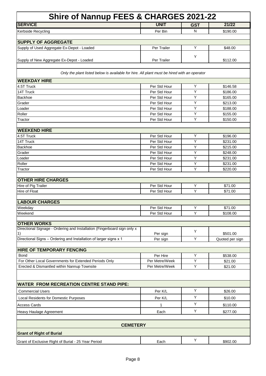| Shire of Nannup FEES & CHARGES 2021-22                                                      |                              |                |                     |  |
|---------------------------------------------------------------------------------------------|------------------------------|----------------|---------------------|--|
| <b>SERVICE</b>                                                                              | <b>UNIT</b>                  | <b>GST</b>     | 21/22               |  |
| Kerbside Recycling                                                                          | Per Bin                      | N              | \$190.00            |  |
|                                                                                             |                              |                |                     |  |
| <b>SUPPLY OF AGGREGATE</b>                                                                  |                              |                |                     |  |
| Supply of Used Aggregate Ex-Depot - Loaded                                                  | Per Trailer                  | Y              | \$48.00             |  |
| Supply of New Aggregate Ex-Depot - Loaded                                                   | Per Trailer                  | Y              | \$112.00            |  |
| Only the plant listed below is available for hire. All plant must be hired with an operator |                              |                |                     |  |
| <b>WEEKDAY HIRE</b>                                                                         |                              |                |                     |  |
| 4.5T Truck                                                                                  | Per Std Hour                 | Υ              | \$146.58            |  |
| 14T Truck                                                                                   | Per Std Hour                 | Y              | \$186.00            |  |
| Backhoe                                                                                     | Per Std Hour                 | Y              | \$165.00            |  |
| Grader                                                                                      | Per Std Hour                 | Y              | \$213.00            |  |
| Loader                                                                                      | Per Std Hour                 | Υ              | \$188.00            |  |
| Roller                                                                                      | Per Std Hour                 | Υ              | \$155.00            |  |
| Tractor                                                                                     | Per Std Hour                 | Υ              | \$150.00            |  |
| <b>WEEKEND HIRE</b>                                                                         |                              |                |                     |  |
| 4.5T Truck                                                                                  | Per Std Hour                 | Υ              | \$196.00            |  |
| 14T Truck                                                                                   | Per Std Hour                 | Υ              | \$231.00            |  |
| Backhoe                                                                                     | Per Std Hour                 | Y              | \$215.00            |  |
| Grader                                                                                      | Per Std Hour                 | $\overline{Y}$ | \$248.00            |  |
| Loader                                                                                      | Per Std Hour                 | Y              | \$231.00            |  |
| Roller                                                                                      | Per Std Hour                 | Y              | \$231.00            |  |
| Tractor                                                                                     | Per Std Hour                 | Y              | \$220.00            |  |
| <b>OTHER HIRE CHARGES</b>                                                                   |                              |                |                     |  |
| Hire of Pig Trailer                                                                         | Per Std Hour                 | Y              | \$71.00             |  |
| Hire of Float                                                                               | Per Std Hour                 | Y              | \$71.00             |  |
|                                                                                             |                              |                |                     |  |
| <b>LABOUR CHARGES</b>                                                                       |                              | Y              |                     |  |
| Weekdav<br>Weekend                                                                          | Per Std Hour<br>Per Std Hour | Y              | \$71.00<br>\$108.00 |  |
|                                                                                             |                              |                |                     |  |
| <b>OTHER WORKS</b>                                                                          |                              |                |                     |  |
| Directional Signage - Ordering and Installation (Fingerboard sign only x                    |                              | Y              |                     |  |
| 1)                                                                                          | Per sign                     |                | \$501.00            |  |
| Directional Signs - Ordering and Installation of larger signs x 1                           | Per sign                     | Υ              | Quoted per sign     |  |
| <b>HIRE OF TEMPORARY FENCING</b>                                                            |                              |                |                     |  |
| Bond                                                                                        | Per Hire                     | Y              | \$538.00            |  |
| For Other Local Governments for Extended Periods Only                                       | Per Metre/Week               | Υ              | \$21.00             |  |
| Erected & Dismantled within Nannup Townsite                                                 | Per Metre/Week               | Υ              | \$21.00             |  |
|                                                                                             |                              |                |                     |  |
| <b>WATER FROM RECREATION CENTRE STAND PIPE:</b>                                             |                              |                |                     |  |
| <b>Commercial Users</b>                                                                     | Per K/L                      | Y              | \$26.00             |  |
| Local Residents for Domestic Purposes                                                       | Per K/L                      | Υ              | \$10.00             |  |
| <b>Access Cards</b>                                                                         | 1                            | Υ              | \$110.00            |  |
| Heavy Haulage Agreement                                                                     | Each                         | Υ              | \$277.00            |  |
|                                                                                             |                              |                |                     |  |
| <b>CEMETERY</b>                                                                             |                              |                |                     |  |
| <b>Grant of Right of Burial</b>                                                             |                              |                |                     |  |
| Grant of Exclusive Right of Burial - 25 Year Period                                         | Each                         | Υ              | \$902.00            |  |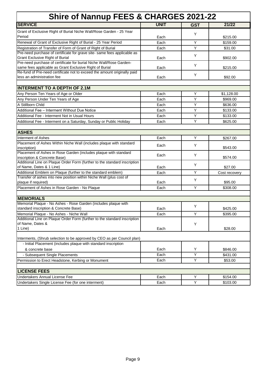| <b>Shire of Nannup FEES &amp; CHARGES 2021-22</b>                                                                                   |             |            |               |  |
|-------------------------------------------------------------------------------------------------------------------------------------|-------------|------------|---------------|--|
| <b>SERVICE</b>                                                                                                                      | <b>UNIT</b> | <b>GST</b> | 21/22         |  |
| Grant of Exclusive Right of Burial Niche Wall/Rose Garden - 25 Year                                                                 |             |            |               |  |
| Period                                                                                                                              | Each        | Y          | \$215.00      |  |
| Renewal of Grant of Exclusive Right of Burial - 25 Year Period                                                                      | Each        | Υ          | \$159.00      |  |
| Registration of Transfer of Form of Grant of Right of Burial                                                                        | Each        | Y          | \$31.00       |  |
| Pre-need purchase of certificate for grave site- same fees applicable as                                                            |             |            |               |  |
| <b>Grant Exclusive Right of Burial</b>                                                                                              | Each        | Y          | \$902.00      |  |
| Pre-need purchase of certificate for burial Niche Wall/Rose Garden-                                                                 |             | Y          |               |  |
| same fees applicable as Grant Exclusive Right of Burial                                                                             | Each        |            | \$215.00      |  |
| Re-fund of Pre-need certificate not to exceed the amount originally paid                                                            |             | Y          |               |  |
| less an administration fee                                                                                                          | Each        |            | \$92.00       |  |
| <b>INTERMENT TO A DEPTH OF 2.1M</b>                                                                                                 |             |            |               |  |
| Any Person Ten Years of Age or Older                                                                                                | Each        | Y          | \$1,128.00    |  |
| Any Person Under Ten Years of Age                                                                                                   | Each        | Y          | \$969.00      |  |
| A Stillborn Child                                                                                                                   | Each        | Y          | \$636.00      |  |
| Additional Fee - Interment Without Due Notice                                                                                       | Each        | Y          | \$133.00      |  |
| Additional Fee - Interment Not in Usual Hours                                                                                       | Each        | Y          | \$133.00      |  |
| Additional Fee - Interment on a Saturday, Sunday or Public Holiday                                                                  | Each        | Y          | \$625.00      |  |
|                                                                                                                                     |             |            |               |  |
| <b>ASHES</b>                                                                                                                        |             |            |               |  |
| Interment of Ashes                                                                                                                  | Each        | Y          | \$267.00      |  |
| Placement of Ashes Within Niche Wall (includes plaque with standard                                                                 |             | Y          |               |  |
| inscription)                                                                                                                        | Each        |            | \$543.00      |  |
| Placement of Ashes in Rose Garden (includes plaque with standard                                                                    | Each        | Y          |               |  |
| inscription & Concrete Base)                                                                                                        |             |            | \$574.00      |  |
| Additional Line on Plaque Order Form (further to the standard inscription                                                           |             | Υ          |               |  |
| of Name, Dates & 1 Line)                                                                                                            | Each        | Y          | \$27.00       |  |
| Additional Emblem on Plaque (further to the standard emblem)<br>Transfer of ashes into new position within Niche Wall (plus cost of | Each        |            | Cost recovery |  |
| plaque if required)                                                                                                                 | Each        | Y          | \$95.00       |  |
| Placement of Ashes in Rose Garden - No Plaque                                                                                       | Each        | Y          | \$308.00      |  |
|                                                                                                                                     |             |            |               |  |
| <b>MEMORIALS</b>                                                                                                                    |             |            |               |  |
| Memorial Plaque - No Ashes - Rose Garden (includes plaque with                                                                      |             |            |               |  |
| standard inscription & Concrete Base)                                                                                               | Each        | Y          | \$425.00      |  |
| Memorial Plaque - No Ashes - Niche Wall                                                                                             | Each        | Y          | \$395.00      |  |
| Additional Line on Plaque Order Form (further to the standard inscription                                                           |             |            |               |  |
| of Name, Dates &                                                                                                                    |             | Y          |               |  |
| 1 Line)                                                                                                                             | Each        |            | \$28.00       |  |
| Interments, (Shrub selection to be approved by CEO as per Council plan)                                                             |             |            |               |  |
| - Initial Placement (includes plaque with standard inscription                                                                      |             |            |               |  |
| & concrete base                                                                                                                     | Each        | Y          | \$846.00      |  |
| - Subsequent Single Placements                                                                                                      | Each        | Y          | \$431.00      |  |
| Permission to Erect Headstone, Kerbing or Monument                                                                                  | Each        | Y          | \$53.00       |  |
|                                                                                                                                     |             |            |               |  |
| <b>LICENSE FEES</b>                                                                                                                 |             |            |               |  |
| Undertakers Annual License Fee                                                                                                      | Each        | Υ          | \$154.00      |  |
| Undertakers Single License Fee (for one interment)                                                                                  | Each        | Y          | \$103.00      |  |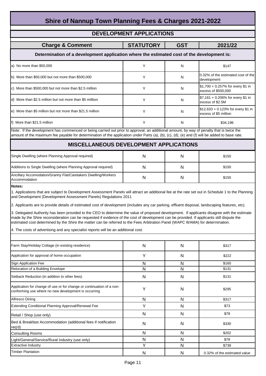| Shire of Nannup Town Planning Fees & Charges 2021-2022                                                                                                                                                                                                                                                                                                                                                                                                                                                                                                                                                                                                                                                                                                                                                                                                                                                           |                  |              |                                                             |  |  |
|------------------------------------------------------------------------------------------------------------------------------------------------------------------------------------------------------------------------------------------------------------------------------------------------------------------------------------------------------------------------------------------------------------------------------------------------------------------------------------------------------------------------------------------------------------------------------------------------------------------------------------------------------------------------------------------------------------------------------------------------------------------------------------------------------------------------------------------------------------------------------------------------------------------|------------------|--------------|-------------------------------------------------------------|--|--|
| <b>DEVELOPMENT APPLICATIONS</b>                                                                                                                                                                                                                                                                                                                                                                                                                                                                                                                                                                                                                                                                                                                                                                                                                                                                                  |                  |              |                                                             |  |  |
|                                                                                                                                                                                                                                                                                                                                                                                                                                                                                                                                                                                                                                                                                                                                                                                                                                                                                                                  |                  |              |                                                             |  |  |
| <b>Charge &amp; Comment</b>                                                                                                                                                                                                                                                                                                                                                                                                                                                                                                                                                                                                                                                                                                                                                                                                                                                                                      | <b>STATUTORY</b> | <b>GST</b>   | 2021/22                                                     |  |  |
| Determination of a development application where the estimated cost of the development is:                                                                                                                                                                                                                                                                                                                                                                                                                                                                                                                                                                                                                                                                                                                                                                                                                       |                  |              |                                                             |  |  |
| a) No more than \$50,000                                                                                                                                                                                                                                                                                                                                                                                                                                                                                                                                                                                                                                                                                                                                                                                                                                                                                         | Y                | N            | \$147                                                       |  |  |
| b) More than \$50,000 but not more than \$500,000                                                                                                                                                                                                                                                                                                                                                                                                                                                                                                                                                                                                                                                                                                                                                                                                                                                                | Y                | N            | 0.32% of the estimated cost of the<br>development           |  |  |
| c) More than \$500,000 but not more than \$2.5 million                                                                                                                                                                                                                                                                                                                                                                                                                                                                                                                                                                                                                                                                                                                                                                                                                                                           | Y                | N            | \$1,700 + 0.257% for every \$1 in<br>excess of \$500,000    |  |  |
| d) More than \$2.5 million but not more than \$5 milliion                                                                                                                                                                                                                                                                                                                                                                                                                                                                                                                                                                                                                                                                                                                                                                                                                                                        | Y                | N            | \$7,161 + 0.206% for every \$1 in<br>excess of \$2.5M       |  |  |
| e) More than \$5 million but not more than \$21.5 million                                                                                                                                                                                                                                                                                                                                                                                                                                                                                                                                                                                                                                                                                                                                                                                                                                                        | Y                | N            | \$12,633 + 0.123% for every \$1 in<br>excess of \$5 million |  |  |
| f) More than \$21.5 million                                                                                                                                                                                                                                                                                                                                                                                                                                                                                                                                                                                                                                                                                                                                                                                                                                                                                      | Y                | N            | \$34,196                                                    |  |  |
| Note: If the development has commenced or being carried out prior to approval, an additional amount, by way of penalty that is twice the<br>amount of the maximum fee payable for determination of the application under Parts (a), (b), (c), (d), (e) and (f) will be added to base rate.                                                                                                                                                                                                                                                                                                                                                                                                                                                                                                                                                                                                                       |                  |              |                                                             |  |  |
| MISCELLANEOUS DEVELOPMENT APPLICATIONS                                                                                                                                                                                                                                                                                                                                                                                                                                                                                                                                                                                                                                                                                                                                                                                                                                                                           |                  |              |                                                             |  |  |
| Single Dwelling (where Planning Approval required)                                                                                                                                                                                                                                                                                                                                                                                                                                                                                                                                                                                                                                                                                                                                                                                                                                                               | N                | N            | \$150                                                       |  |  |
| Additions to Single Dwelling (where Planning Approval required)                                                                                                                                                                                                                                                                                                                                                                                                                                                                                                                                                                                                                                                                                                                                                                                                                                                  | N                | N            | \$150                                                       |  |  |
| Ancillary Accomodation/Granny Flat/Caretakers Dwelling/Workers<br>Accommodation                                                                                                                                                                                                                                                                                                                                                                                                                                                                                                                                                                                                                                                                                                                                                                                                                                  | N                | N            | \$150                                                       |  |  |
| <b>Notes:</b><br>1. Applications that are subject to Development Assessment Panels will attract an additional fee at the rate set out in Schedule 1 to the Planning<br>and Development (Development Assessment Panels) Regulations 2011<br>2. Applicants are to provide details of estimated cost of development (includes any car parking, effluent disposal, landscaping features, etc).<br>3. Delegated Authority has been provided to the CEO to determine the value of proposed development. If applicants disagree with the estimate<br>made by the Shire reconsideration can be requested if evidence of the cost of development can be provided. If applicants still dispute the<br>estimated cost determined by the Shire the matter can be referred to the Fees Arbitration Panel (WAPC WAMA) for determination.<br>4. The costs of advertising and any specialist reports will be an additional cost. |                  |              |                                                             |  |  |
|                                                                                                                                                                                                                                                                                                                                                                                                                                                                                                                                                                                                                                                                                                                                                                                                                                                                                                                  |                  |              |                                                             |  |  |
| Farm Stay/Holiday Cottage (in existing residence)                                                                                                                                                                                                                                                                                                                                                                                                                                                                                                                                                                                                                                                                                                                                                                                                                                                                | N                | N            | \$317                                                       |  |  |
| Application for approval of home occupation                                                                                                                                                                                                                                                                                                                                                                                                                                                                                                                                                                                                                                                                                                                                                                                                                                                                      | Υ                | N            | \$222                                                       |  |  |
| Sign Application Fee                                                                                                                                                                                                                                                                                                                                                                                                                                                                                                                                                                                                                                                                                                                                                                                                                                                                                             | N                | N            | \$160                                                       |  |  |
| Relocation of a Building Envelope                                                                                                                                                                                                                                                                                                                                                                                                                                                                                                                                                                                                                                                                                                                                                                                                                                                                                | N                | N            | \$131                                                       |  |  |
| Setback Reduction (in addition to other fees)                                                                                                                                                                                                                                                                                                                                                                                                                                                                                                                                                                                                                                                                                                                                                                                                                                                                    | N                | N            | \$131                                                       |  |  |
| Application for change of use or for change or continuation of a non-<br>conforming use where no new development is occurring                                                                                                                                                                                                                                                                                                                                                                                                                                                                                                                                                                                                                                                                                                                                                                                    | Υ                | N            | \$295                                                       |  |  |
| Alfresco Dining                                                                                                                                                                                                                                                                                                                                                                                                                                                                                                                                                                                                                                                                                                                                                                                                                                                                                                  | N                | N            | \$317                                                       |  |  |
| Extending Conditional Planning Approval/Renewal Fee                                                                                                                                                                                                                                                                                                                                                                                                                                                                                                                                                                                                                                                                                                                                                                                                                                                              | Y                | N            | \$73                                                        |  |  |
| Retail / Shop (use only)                                                                                                                                                                                                                                                                                                                                                                                                                                                                                                                                                                                                                                                                                                                                                                                                                                                                                         | N                | N            | \$78                                                        |  |  |
| Bed & Breakfast Accommodation (additional fees if notification<br>req'd)                                                                                                                                                                                                                                                                                                                                                                                                                                                                                                                                                                                                                                                                                                                                                                                                                                         | N                | N            | \$330                                                       |  |  |
| <b>Consulting Rooms</b>                                                                                                                                                                                                                                                                                                                                                                                                                                                                                                                                                                                                                                                                                                                                                                                                                                                                                          | N                | N            | \$202                                                       |  |  |
| Light/General/Service/Rural Industry (use only)                                                                                                                                                                                                                                                                                                                                                                                                                                                                                                                                                                                                                                                                                                                                                                                                                                                                  | N                | N            | \$78                                                        |  |  |
| <b>Extractive Industry</b>                                                                                                                                                                                                                                                                                                                                                                                                                                                                                                                                                                                                                                                                                                                                                                                                                                                                                       | Υ                | N            | \$739                                                       |  |  |
| <b>Timber Plantation</b>                                                                                                                                                                                                                                                                                                                                                                                                                                                                                                                                                                                                                                                                                                                                                                                                                                                                                         | N                | $\mathsf{N}$ | 0.32% of the estimated value                                |  |  |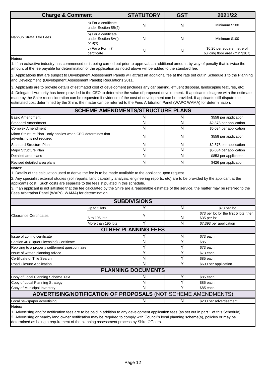| <b>Charge &amp; Comment</b> |                                                          | <b>STATUTORY</b> | <b>GST</b> | 2021/22                                                       |
|-----------------------------|----------------------------------------------------------|------------------|------------|---------------------------------------------------------------|
|                             | a) For a certificate<br>under Section 5B(2)              | N                | Ν          | Minimum \$100                                                 |
| Nannup Strata Title Fees    | b) For a certificate<br>under Section 8A(f)<br>or $9(3)$ | N                | N          | Minimum \$100                                                 |
|                             | c) For a Form 7<br>certificate                           | N                | N          | \$0.20 per square metre of<br>building floor area (min \$107) |

**Notes:** 

1. If an extractive industry has commenced or is being carried out prior to approval, an additional amount, by way of penalty that is twice the amount of the fee payable for determination of the application as noted above will be added to the standard fee.

2. Applications that are subject to Development Assessment Panels will attract an additional fee at the rate set out in Schedule 1 to the Planning and Development (Development Assessment Panels) Regulations 2011.

3. Applicants are to provide details of estimated cost of development (includes any car parking, effluent disposal, landscaping features, etc). 4. Delegated Authority has been provided to the CEO to determine the value of proposed development. If applicants disagree with the estimate made by the Shire reconsideration can be requested if evidence of the cost of development can be provided. If applicants still dispute the estimated cost determined by the Shire, the matter can be referred to the Fees Arbitration Panel (WAPC WAMA) for determination.

| <b>SCHEME AMENDMENTS/STRUCTURE PLANS</b>                                                    |  |   |                         |  |
|---------------------------------------------------------------------------------------------|--|---|-------------------------|--|
| Basic Amendment                                                                             |  |   | \$558 per application   |  |
| Standard Amendment                                                                          |  |   | \$2,878 per application |  |
| Complex Amendment                                                                           |  | N | \$5,034 per application |  |
| Minor Structure Plan - only applies when CEO determines that<br>advertising is not required |  | N | \$558 per application   |  |
| <b>Standard Structure Plan</b>                                                              |  |   | \$2,878 per application |  |
| Major Structure Plan                                                                        |  | N | \$5,034 per application |  |
| Detailed area plans                                                                         |  | N | \$853 per application   |  |
| Revised detailed area plans                                                                 |  | N | \$426 per application   |  |

**Notes:**

1. Details of the calculation used to derive the fee is to be made available to the applicant upon request

2. Any specialist external studies (soil reports, land capability analysis, engineering reports, etc) are to be provided by the applicant at the applicants cost. Such costs are separate to the fees stipulated in this schedule.

3. If an applicant is not satisfied that the fee calculated by the Shire are a reasonable estimate of the service, the matter may be referred to the Fees Arbitration Panel (WAPC, WAMA) for determination.

| <b>SUBDIVISIONS</b>                                           |                    |   |   |                                                         |  |  |
|---------------------------------------------------------------|--------------------|---|---|---------------------------------------------------------|--|--|
|                                                               | Up to 5 lots       |   | N | \$73 per lot                                            |  |  |
| <b>IClearance Certificates</b>                                | 6 to 195 lots      | Υ | N | \$73 per lot for the first 5 lots, then<br>\$35 per lot |  |  |
|                                                               | More than 195 lots |   | N | \$7,393 per application                                 |  |  |
| <b>OTHER PLANNING FEES</b>                                    |                    |   |   |                                                         |  |  |
| Issue of zoning certificate                                   |                    |   | N | \$73 each                                               |  |  |
| Section 40 (Liquor Licensing) Certificate                     |                    | N | Y | \$85                                                    |  |  |
| Replying to a property settlement questionnaire               |                    | v | v | \$73 each                                               |  |  |
| Issue of written planning advice                              |                    | v |   | \$73 each                                               |  |  |
| Certificate of Title Search                                   |                    | N | v | \$85 each                                               |  |  |
| Road Closure Application                                      |                    | N | v | \$600 per application                                   |  |  |
| <b>PLANNING DOCUMENTS</b>                                     |                    |   |   |                                                         |  |  |
| Copy of Local Planning Scheme Text                            |                    | N |   | \$85 each                                               |  |  |
| Copy of Local Planning Strategy                               |                    | N |   | \$85 each                                               |  |  |
| Copy of Municipal Inventory                                   |                    | N |   | \$85 each                                               |  |  |
| ADVERTISING/NOTIFICATION OF PROPOSALS (NOT SCHEME AMENDMENTS) |                    |   |   |                                                         |  |  |
| Local newspaper advertising                                   |                    | N | N | \$200 per advertisement                                 |  |  |
| Notos:                                                        |                    |   |   |                                                         |  |  |

**Notes:**

1. Advertising and/or notification fees are to be paid in addition to any development application fees (as set out in part 1 of this Schedule) 2. Advertising or nearby land owner notification may be required to comply with Council's local planning scheme(s), policies or may be determined as being a requirement of the planning assessment process by Shire Officers.